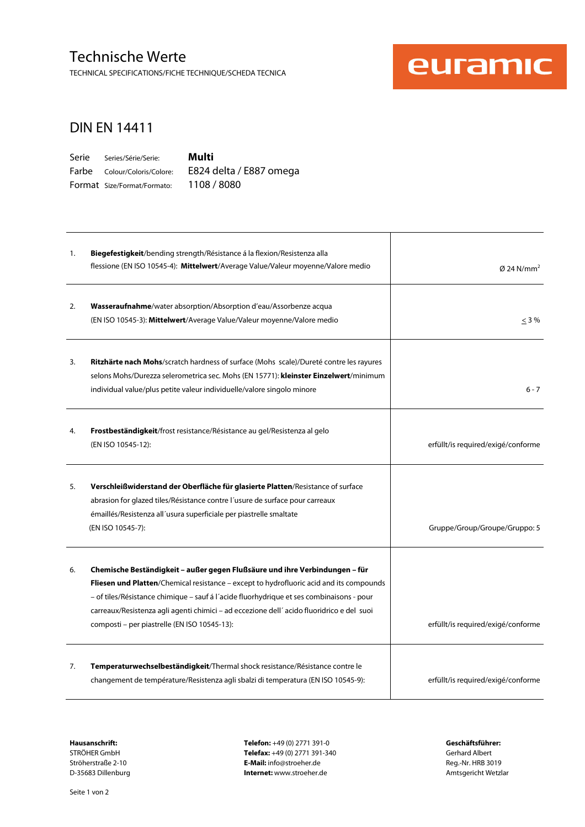### Technische Werte

TECHNICAL SPECIFICATIONS/FICHE TECHNIQUE/SCHEDA TECNICA



#### DIN EN 14411

| Serie | Series/Série/Serie:          |
|-------|------------------------------|
|       | Farbe Colour/Coloris/Colore: |
|       | Format Size/Format/Formato:  |

**Multi**  E824 delta / E887 omega 1108 / 8080

| 1. | Biegefestigkeit/bending strength/Résistance á la flexion/Resistenza alla<br>flessione (EN ISO 10545-4): Mittelwert/Average Value/Valeur moyenne/Valore medio                                                                                                                                                                                                                                                   | $\varnothing$ 24 N/mm <sup>2</sup> |
|----|----------------------------------------------------------------------------------------------------------------------------------------------------------------------------------------------------------------------------------------------------------------------------------------------------------------------------------------------------------------------------------------------------------------|------------------------------------|
| 2. | Wasseraufnahme/water absorption/Absorption d'eau/Assorbenze acqua<br>(EN ISO 10545-3): Mittelwert/Average Value/Valeur moyenne/Valore medio                                                                                                                                                                                                                                                                    | $<$ 3 %                            |
| 3. | <b>Ritzhärte nach Mohs/scratch hardness of surface (Mohs scale)/Dureté contre les rayures</b><br>selons Mohs/Durezza selerometrica sec. Mohs (EN 15771): kleinster Einzelwert/minimum<br>individual value/plus petite valeur individuelle/valore singolo minore                                                                                                                                                | $6 - 7$                            |
| 4. | <b>Frostbeständigkeit</b> /frost resistance/Résistance au gel/Resistenza al gelo<br>(EN ISO 10545-12):                                                                                                                                                                                                                                                                                                         | erfüllt/is required/exigé/conforme |
| 5. | Verschleißwiderstand der Oberfläche für glasierte Platten/Resistance of surface<br>abrasion for glazed tiles/Résistance contre l'usure de surface pour carreaux<br>émaillés/Resistenza all'usura superficiale per piastrelle smaltate<br>(EN ISO 10545-7):                                                                                                                                                     | Gruppe/Group/Groupe/Gruppo: 5      |
| 6. | Chemische Beständigkeit – außer gegen Flußsäure und ihre Verbindungen – für<br>Fliesen und Platten/Chemical resistance - except to hydrofluoric acid and its compounds<br>- of tiles/Résistance chimique - sauf á l'acide fluorhydrique et ses combinaisons - pour<br>carreaux/Resistenza agli agenti chimici - ad eccezione dell'acido fluoridrico e del suoi<br>composti - per piastrelle (EN ISO 10545-13): | erfüllt/is required/exigé/conforme |
| 7. | Temperaturwechselbeständigkeit/Thermal shock resistance/Résistance contre le<br>changement de température/Resistenza agli sbalzi di temperatura (EN ISO 10545-9):                                                                                                                                                                                                                                              | erfüllt/is required/exigé/conforme |

**Hausanschrift: Telefon:** +49 (0) 2771 391-0 **Geschäftsführer: Telefax:** +49 (0) 2771 391-340<br> **E-Mail:** info@stroeher.de<br> **E-Mail:** info@stroeher.de<br> **E-Mail:** info@stroeher.de Ströherstraße 2-10 **E-Mail:** info@stroeher.de<br>
D-35683 Dillenburg **E-Mail:** info@stroeher.de **Reg.**-Nr. Here is a metallic provident of the Reg. The Reg. Mail: info@stroeher.de a metallic provident of the Reg. Section of t **Internet:** www.stroeher.de **Internet:** www.stroeher.de